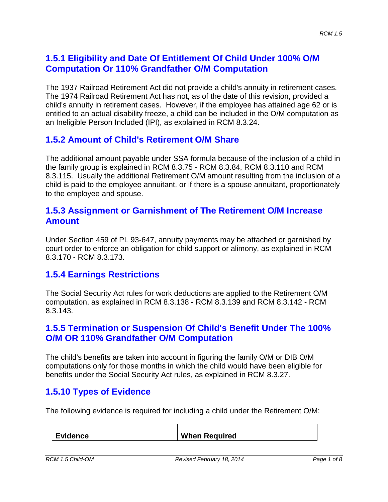### **1.5.1 Eligibility and Date Of Entitlement Of Child Under 100% O/M Computation Or 110% Grandfather O/M Computation**

The 1937 Railroad Retirement Act did not provide a child's annuity in retirement cases. The 1974 Railroad Retirement Act has not, as of the date of this revision, provided a child's annuity in retirement cases. However, if the employee has attained age 62 or is entitled to an actual disability freeze, a child can be included in the O/M computation as an Ineligible Person Included (IPI), as explained in RCM 8.3.24.

#### **1.5.2 Amount of Child's Retirement O/M Share**

The additional amount payable under SSA formula because of the inclusion of a child in the family group is explained in RCM 8.3.75 - RCM 8.3.84, RCM 8.3.110 and RCM 8.3.115. Usually the additional Retirement O/M amount resulting from the inclusion of a child is paid to the employee annuitant, or if there is a spouse annuitant, proportionately to the employee and spouse.

#### **1.5.3 Assignment or Garnishment of The Retirement O/M Increase Amount**

Under Section 459 of PL 93-647, annuity payments may be attached or garnished by court order to enforce an obligation for child support or alimony, as explained in RCM 8.3.170 - RCM 8.3.173.

#### **1.5.4 Earnings Restrictions**

The Social Security Act rules for work deductions are applied to the Retirement O/M computation, as explained in RCM 8.3.138 - RCM 8.3.139 and RCM 8.3.142 - RCM 8.3.143.

#### **1.5.5 Termination or Suspension Of Child's Benefit Under The 100% O/M OR 110% Grandfather O/M Computation**

The child's benefits are taken into account in figuring the family O/M or DIB O/M computations only for those months in which the child would have been eligible for benefits under the Social Security Act rules, as explained in RCM 8.3.27.

#### **1.5.10 Types of Evidence**

The following evidence is required for including a child under the Retirement O/M:

**Evidence When Required**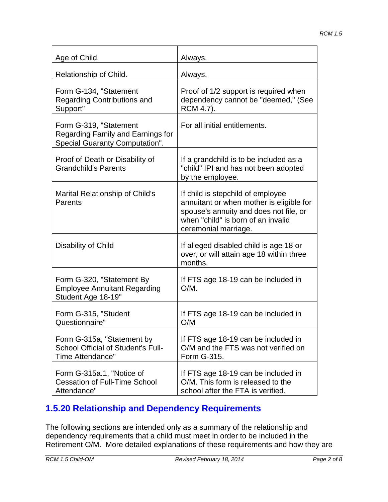| Age of Child.                                                                                        | Always.                                                                                                                                                                               |
|------------------------------------------------------------------------------------------------------|---------------------------------------------------------------------------------------------------------------------------------------------------------------------------------------|
| Relationship of Child.                                                                               | Always.                                                                                                                                                                               |
| Form G-134, "Statement<br><b>Regarding Contributions and</b><br>Support"                             | Proof of 1/2 support is required when<br>dependency cannot be "deemed," (See<br>RCM 4.7).                                                                                             |
| Form G-319, "Statement<br>Regarding Family and Earnings for<br><b>Special Guaranty Computation".</b> | For all initial entitlements.                                                                                                                                                         |
| Proof of Death or Disability of<br><b>Grandchild's Parents</b>                                       | If a grandchild is to be included as a<br>"child" IPI and has not been adopted<br>by the employee.                                                                                    |
| <b>Marital Relationship of Child's</b><br>Parents                                                    | If child is stepchild of employee<br>annuitant or when mother is eligible for<br>spouse's annuity and does not file, or<br>when "child" is born of an invalid<br>ceremonial marriage. |
| Disability of Child                                                                                  | If alleged disabled child is age 18 or<br>over, or will attain age 18 within three<br>months.                                                                                         |
| Form G-320, "Statement By<br><b>Employee Annuitant Regarding</b><br>Student Age 18-19"               | If FTS age 18-19 can be included in<br>$O/M$ .                                                                                                                                        |
| Form G-315, "Student<br>Questionnaire"                                                               | If FTS age 18-19 can be included in<br>O/M                                                                                                                                            |
| Form G-315a, "Statement by<br>School Official of Student's Full-<br>Time Attendance"                 | If FTS age 18-19 can be included in<br>O/M and the FTS was not verified on<br>Form G-315.                                                                                             |
| Form G-315a.1, "Notice of<br><b>Cessation of Full-Time School</b><br>Attendance"                     | If FTS age 18-19 can be included in<br>O/M. This form is released to the<br>school after the FTA is verified.                                                                         |

## **1.5.20 Relationship and Dependency Requirements**

The following sections are intended only as a summary of the relationship and dependency requirements that a child must meet in order to be included in the Retirement O/M. More detailed explanations of these requirements and how they are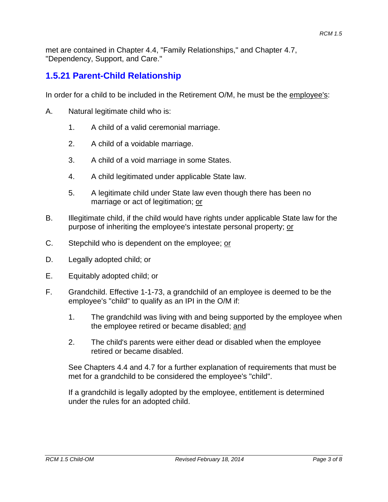met are contained in Chapter 4.4, "Family Relationships," and Chapter 4.7, "Dependency, Support, and Care."

### **1.5.21 Parent-Child Relationship**

In order for a child to be included in the Retirement O/M, he must be the employee's:

- A. Natural legitimate child who is:
	- 1. A child of a valid ceremonial marriage.
	- 2. A child of a voidable marriage.
	- 3. A child of a void marriage in some States.
	- 4. A child legitimated under applicable State law.
	- 5. A legitimate child under State law even though there has been no marriage or act of legitimation; or
- B. Illegitimate child, if the child would have rights under applicable State law for the purpose of inheriting the employee's intestate personal property; or
- C. Stepchild who is dependent on the employee; or
- D. Legally adopted child; or
- E. Equitably adopted child; or
- F. Grandchild. Effective 1-1-73, a grandchild of an employee is deemed to be the employee's "child" to qualify as an IPI in the O/M if:
	- 1. The grandchild was living with and being supported by the employee when the employee retired or became disabled; and
	- 2. The child's parents were either dead or disabled when the employee retired or became disabled.

See Chapters 4.4 and 4.7 for a further explanation of requirements that must be met for a grandchild to be considered the employee's "child".

If a grandchild is legally adopted by the employee, entitlement is determined under the rules for an adopted child.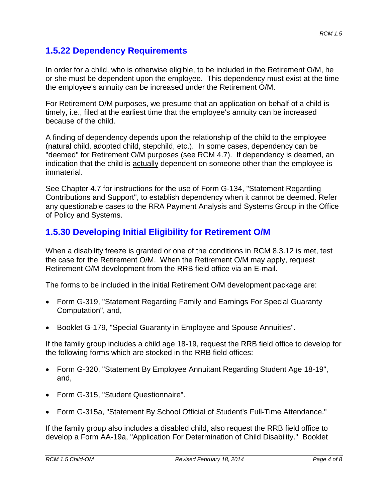### **1.5.22 Dependency Requirements**

In order for a child, who is otherwise eligible, to be included in the Retirement O/M, he or she must be dependent upon the employee. This dependency must exist at the time the employee's annuity can be increased under the Retirement O/M.

For Retirement O/M purposes, we presume that an application on behalf of a child is timely, i.e., filed at the earliest time that the employee's annuity can be increased because of the child.

A finding of dependency depends upon the relationship of the child to the employee (natural child, adopted child, stepchild, etc.). In some cases, dependency can be "deemed" for Retirement O/M purposes (see RCM 4.7). If dependency is deemed, an indication that the child is actually dependent on someone other than the employee is immaterial.

See Chapter 4.7 for instructions for the use of Form G-134, "Statement Regarding Contributions and Support", to establish dependency when it cannot be deemed. Refer any questionable cases to the RRA Payment Analysis and Systems Group in the Office of Policy and Systems.

## **1.5.30 Developing Initial Eligibility for Retirement O/M**

When a disability freeze is granted or one of the conditions in RCM 8.3.12 is met, test the case for the Retirement O/M. When the Retirement O/M may apply, request Retirement O/M development from the RRB field office via an E-mail.

The forms to be included in the initial Retirement O/M development package are:

- Form G-319, "Statement Regarding Family and Earnings For Special Guaranty Computation", and,
- Booklet G-179, "Special Guaranty in Employee and Spouse Annuities".

If the family group includes a child age 18-19, request the RRB field office to develop for the following forms which are stocked in the RRB field offices:

- Form G-320, "Statement By Employee Annuitant Regarding Student Age 18-19", and,
- Form G-315, "Student Questionnaire".
- Form G-315a, "Statement By School Official of Student's Full-Time Attendance."

If the family group also includes a disabled child, also request the RRB field office to develop a Form AA-19a, "Application For Determination of Child Disability." Booklet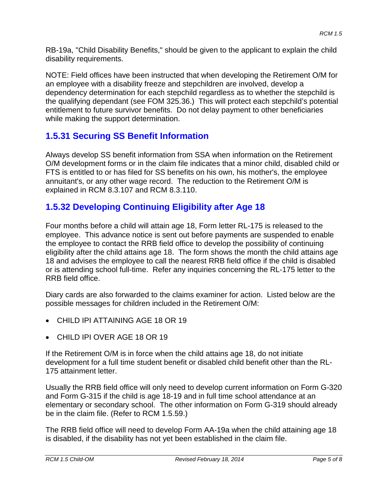RB-19a, "Child Disability Benefits," should be given to the applicant to explain the child disability requirements.

NOTE: Field offices have been instructed that when developing the Retirement O/M for an employee with a disability freeze and stepchildren are involved, develop a dependency determination for each stepchild regardless as to whether the stepchild is the qualifying dependant (see FOM 325.36.) This will protect each stepchild's potential entitlement to future survivor benefits. Do not delay payment to other beneficiaries while making the support determination.

## **1.5.31 Securing SS Benefit Information**

Always develop SS benefit information from SSA when information on the Retirement O/M development forms or in the claim file indicates that a minor child, disabled child or FTS is entitled to or has filed for SS benefits on his own, his mother's, the employee annuitant's, or any other wage record. The reduction to the Retirement O/M is explained in RCM 8.3.107 and RCM 8.3.110.

## **1.5.32 Developing Continuing Eligibility after Age 18**

Four months before a child will attain age 18, Form letter RL-175 is released to the employee. This advance notice is sent out before payments are suspended to enable the employee to contact the RRB field office to develop the possibility of continuing eligibility after the child attains age 18. The form shows the month the child attains age 18 and advises the employee to call the nearest RRB field office if the child is disabled or is attending school full-time. Refer any inquiries concerning the RL-175 letter to the RRB field office.

Diary cards are also forwarded to the claims examiner for action. Listed below are the possible messages for children included in the Retirement O/M:

- CHILD IPI ATTAINING AGE 18 OR 19
- CHILD IPI OVER AGE 18 OR 19

If the Retirement O/M is in force when the child attains age 18, do not initiate development for a full time student benefit or disabled child benefit other than the RL-175 attainment letter.

Usually the RRB field office will only need to develop current information on Form G-320 and Form G-315 if the child is age 18-19 and in full time school attendance at an elementary or secondary school. The other information on Form G-319 should already be in the claim file. (Refer to RCM 1.5.59.)

The RRB field office will need to develop Form AA-19a when the child attaining age 18 is disabled, if the disability has not yet been established in the claim file.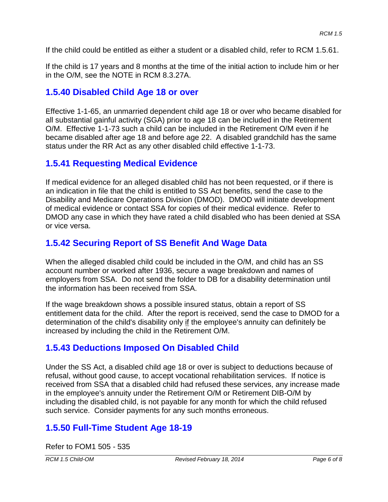If the child could be entitled as either a student or a disabled child, refer to RCM 1.5.61.

If the child is 17 years and 8 months at the time of the initial action to include him or her in the O/M, see the NOTE in RCM 8.3.27A.

### **1.5.40 Disabled Child Age 18 or over**

Effective 1-1-65, an unmarried dependent child age 18 or over who became disabled for all substantial gainful activity (SGA) prior to age 18 can be included in the Retirement O/M. Effective 1-1-73 such a child can be included in the Retirement O/M even if he became disabled after age 18 and before age 22. A disabled grandchild has the same status under the RR Act as any other disabled child effective 1-1-73.

### **1.5.41 Requesting Medical Evidence**

If medical evidence for an alleged disabled child has not been requested, or if there is an indication in file that the child is entitled to SS Act benefits, send the case to the Disability and Medicare Operations Division (DMOD). DMOD will initiate development of medical evidence or contact SSA for copies of their medical evidence. Refer to DMOD any case in which they have rated a child disabled who has been denied at SSA or vice versa.

## **1.5.42 Securing Report of SS Benefit And Wage Data**

When the alleged disabled child could be included in the O/M, and child has an SS account number or worked after 1936, secure a wage breakdown and names of employers from SSA. Do not send the folder to DB for a disability determination until the information has been received from SSA.

If the wage breakdown shows a possible insured status, obtain a report of SS entitlement data for the child. After the report is received, send the case to DMOD for a determination of the child's disability only if the employee's annuity can definitely be increased by including the child in the Retirement O/M.

## **1.5.43 Deductions Imposed On Disabled Child**

Under the SS Act, a disabled child age 18 or over is subject to deductions because of refusal, without good cause, to accept vocational rehabilitation services. If notice is received from SSA that a disabled child had refused these services, any increase made in the employee's annuity under the Retirement O/M or Retirement DIB-O/M by including the disabled child, is not payable for any month for which the child refused such service. Consider payments for any such months erroneous.

## **1.5.50 Full-Time Student Age 18-19**

Refer to FOM1 505 - 535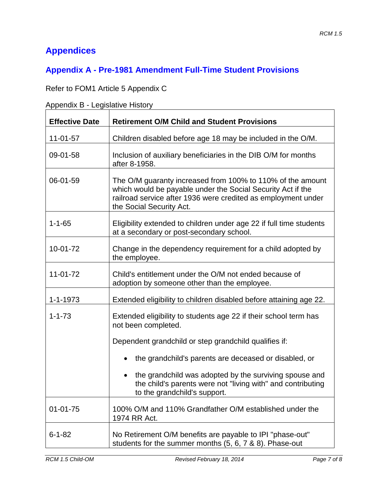# **Appendices**

## **Appendix A - Pre-1981 Amendment Full-Time Student Provisions**

Refer to FOM1 Article 5 Appendix C

Appendix B - Legislative History

| <b>Effective Date</b> | <b>Retirement O/M Child and Student Provisions</b>                                                                                                                                                                     |
|-----------------------|------------------------------------------------------------------------------------------------------------------------------------------------------------------------------------------------------------------------|
| $11 - 01 - 57$        | Children disabled before age 18 may be included in the O/M.                                                                                                                                                            |
| 09-01-58              | Inclusion of auxiliary beneficiaries in the DIB O/M for months<br>after 8-1958.                                                                                                                                        |
| 06-01-59              | The O/M guaranty increased from 100% to 110% of the amount<br>which would be payable under the Social Security Act if the<br>railroad service after 1936 were credited as employment under<br>the Social Security Act. |
| $1 - 1 - 65$          | Eligibility extended to children under age 22 if full time students<br>at a secondary or post-secondary school.                                                                                                        |
| 10-01-72              | Change in the dependency requirement for a child adopted by<br>the employee.                                                                                                                                           |
| 11-01-72              | Child's entitlement under the O/M not ended because of<br>adoption by someone other than the employee.                                                                                                                 |
| $1 - 1 - 1973$        | Extended eligibility to children disabled before attaining age 22.                                                                                                                                                     |
| $1 - 1 - 73$          | Extended eligibility to students age 22 if their school term has<br>not been completed.                                                                                                                                |
|                       | Dependent grandchild or step grandchild qualifies if:                                                                                                                                                                  |
|                       | the grandchild's parents are deceased or disabled, or                                                                                                                                                                  |
|                       | the grandchild was adopted by the surviving spouse and<br>the child's parents were not "living with" and contributing<br>to the grandchild's support.                                                                  |
| $01 - 01 - 75$        | 100% O/M and 110% Grandfather O/M established under the<br>1974 RR Act.                                                                                                                                                |
| $6 - 1 - 82$          | No Retirement O/M benefits are payable to IPI "phase-out"<br>students for the summer months (5, 6, 7 & 8). Phase-out                                                                                                   |